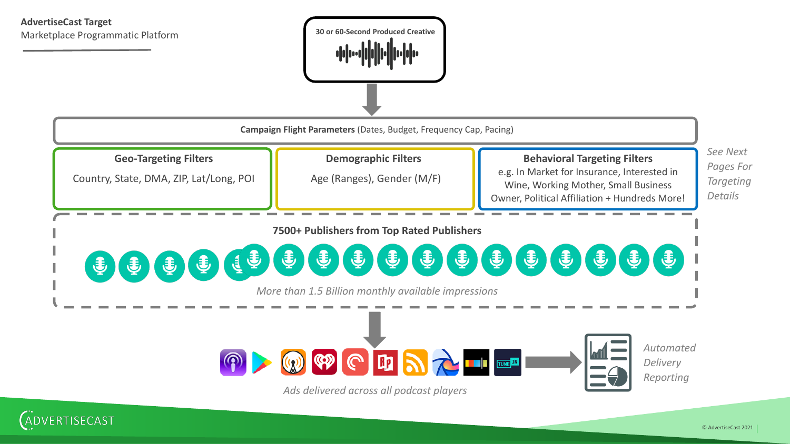## **AdvertiseCast Target** Marketplace Programmatic Platform





ADVERTISECAST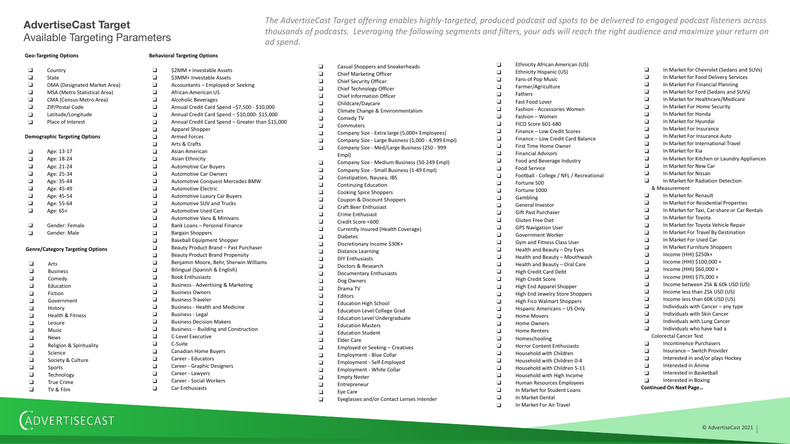# **AdvertiseCast Target** Available Targeting Parameters

*The AdvertiseCast Target offering enables highly-targeted, produced podcast ad spots to be delivered to engaged podcast listeners across thousands of podcasts. Leveraging the following segments and filters, your ads will reach the right audience and maximize your return on ad spend.*

### **Geo-Targeting Options**

#### **Behavioral Targeting Options**

❑ \$2MM + Investable Assets ❑ \$3MM+ Investable Assets ❑ Accountants – Employed or Seeking

❑ Annual Credit Card Spend –\$7,500 - \$10,000 ❑ Annual Credit Card Spend – \$10,000- \$15,000 ❑ Annual Credit Card Spend – Greater than \$15,000

❑ African-American US ❑ Alcoholic Beverages

| ◻      | Country                                 | $\Box$             |
|--------|-----------------------------------------|--------------------|
| $\Box$ | State                                   | O.                 |
| $\Box$ | DMA (Designated Market Area)            | $\Box$             |
| $\Box$ | MSA (Metro Statistical Area)            | $\Box$             |
| $\Box$ | CMA (Census Metro Area)                 | O.                 |
| $\Box$ | ZIP/Postal Code                         | $\Box$             |
| $\Box$ | Latitude/Longitude                      | $\Box$             |
| $\Box$ | Place of Interest                       | $\Box$             |
|        |                                         | $\Box$             |
|        | <b>Demographic Targeting Options</b>    | $\Box$             |
|        |                                         | $\Box$             |
| $\Box$ | Age: 13-17                              | $\Box$             |
| $\Box$ | Age: 18-24                              | $\Box$             |
| $\Box$ | Age: 21-24                              | $\bar{\mathsf{q}}$ |
| $\Box$ | Age: 25-34                              | $\Box$             |
| $\Box$ | Age: 35-44                              | $\Box$             |
| $\Box$ | Age: 45-49                              | $\Box$             |
| $\Box$ | Age: 45-54                              | $\Box$             |
| $\Box$ | Age: 55-64                              | $\Box$             |
| $\Box$ | Age: 65+                                | $\Box$             |
|        |                                         | $\Box$             |
| ◘      | Gender: Female                          | $\Box$             |
| $\Box$ | Gender: Male                            | $\Box$             |
|        |                                         | $\Box$             |
|        | <b>Genre/Category Targeting Options</b> | $\Box$             |
|        |                                         | $\Box$             |
| ◻      | Arts                                    | $\Box$             |
| $\Box$ | <b>Business</b>                         | $\Box$             |
| $\Box$ | Comedy                                  | Ō.                 |
| $\Box$ | Education                               | $\Box$             |
|        | $\cdot$ $\cdot$                         | n                  |

| □ | Fiction    |
|---|------------|
| □ | Government |

- ❑ History
- ❑ Health & Fitness
- ❑ Leisure
- ❑ Music
- ❑ News
- ❑ Religion & Spirituality
- ❑ Science
- ❑ Society & Culture
- ❑ Sports
- ❑ Technology
- ❑ True Crime
- ❑ TV & Film

**ADVERTISECAST** 

|                              | Age: 35-44   |  |
|------------------------------|--------------|--|
| ◻                            | Age: 45-49   |  |
| ◻                            | Age: 45-54   |  |
| ◻                            | Age: 55-64   |  |
| ◻                            | Age: 65+     |  |
|                              |              |  |
| □                            | Gender: Fema |  |
| □                            | Gender: Male |  |
|                              |              |  |
| <b>Genre/Category Target</b> |              |  |
|                              |              |  |
|                              |              |  |

| $\Box$ | Apparel Shopper                        |
|--------|----------------------------------------|
| $\Box$ | <b>Armed Forces</b>                    |
| $\Box$ | Arts & Crafts                          |
| $\Box$ | Asian American                         |
| $\Box$ | Asian Ethnicity                        |
| $\Box$ | <b>Automotive Car Buyers</b>           |
| $\Box$ | <b>Automotive Car Owners</b>           |
| $\Box$ | Automotive Conquest Mercedes BMW       |
| $\Box$ | <b>Automotive Electric</b>             |
| $\Box$ | Automotive Luxury Car Buyers           |
| $\Box$ | <b>Automotive SUV and Trucks</b>       |
| $\Box$ | <b>Automotive Used Cars</b>            |
| $\Box$ | <b>Automotive Vans &amp; Minivans</b>  |
| $\Box$ | Bank Loans - Personal Finance          |
| $\Box$ | <b>Bargain Shoppers</b>                |
| $\Box$ | <b>Baseball Equipment Shopper</b>      |
| $\Box$ | Beauty Product Brand - Past Purchaser  |
| $\Box$ | <b>Beauty Product Brand Propensity</b> |
| $\Box$ | Benjamin Moore, Behr, Sherwin Williar  |
| $\Box$ | Bilingual (Spanish & English)          |
| $\Box$ | <b>Book Enthusiasts</b>                |
| $\Box$ | Business - Advertising & Marketing     |
| $\Box$ | <b>Business Owners</b>                 |
| $\Box$ | <b>Business Traveler</b>               |
| $\Box$ | <b>Business - Health and Medicine</b>  |
| $\Box$ | <b>Business - Legal</b>                |
| $\Box$ | <b>Business Decision Makers</b>        |
| $\Box$ | Business -- Building and Construction  |
| $\Box$ | C-Level Executive                      |
| $\Box$ | C-Suite                                |
| $\Box$ | Canadian Home Buyers                   |
| $\Box$ | Career - Educators                     |
| $\Box$ | Career - Graphic Designers             |
| $\Box$ | Career - Lawyers                       |
|        |                                        |

- chaser Williams
- ❑ Career Social Workers
- ❑ Car Enthusiasts

| ❏      | Casual Shoppers and Sneakerheads                   |
|--------|----------------------------------------------------|
| □      | <b>Chief Marketing Officer</b>                     |
| □      | Chief Security Officer                             |
| ▫      | Chief Technology Officer                           |
| ▫      | <b>Chief Information Officer</b>                   |
| ▫      | Childcare/Daycare                                  |
| O      | Climate Change & Environmentalism                  |
| O      | Comedy TV                                          |
| ▫      | Commuters                                          |
| O      | Company Size - Extra large (5,000+ Employees)      |
| ▫      | Company Size - Large Business (1,000 - 4,999 Empl) |
| ◻      | Company Size - Med/Large Business (250 - 999       |
|        | Empl)                                              |
| ❏      | Company Size - Medium Business (50-249 Empl)       |
| $\Box$ | Company Size - Small Business (1-49 Empl)          |
| $\Box$ | Constipation, Nausea, IBS                          |
| ▫      | <b>Continuing Education</b>                        |
| O      | <b>Cooking Spice Shoppers</b>                      |
| ▫      | Coupon & Discount Shoppers                         |
| ▫      | <b>Craft Beer Enthusiast</b>                       |
| ▫      | Crime Enthusiast                                   |
| ▫      | Credit Score <600                                  |
| □      | Currently Insured (Health Coverage)                |
| □      | <b>Diabetes</b>                                    |
| □      | Discretionary Income \$30K+                        |
| $\Box$ | <b>Distance Learning</b>                           |
| □      | <b>DIY Enthusiasts</b>                             |
| $\Box$ | Doctors & Research                                 |
| ❏      | Documentary Enthusiasts                            |
| ❏      | Dog Owners                                         |
| ❏      | Drama TV                                           |
| ▫      | Editors                                            |
| ▫      | <b>Education High School</b>                       |
| ◻      | <b>Education Level College Grad</b>                |

- ❑ Education Level Undergraduate
- ❑ Education Masters
- Education Student
- ❑ Elder Care

 $\frac{1}{1}$ 

 $\frac{1}{1}$ 

- ❑ Employed or Seeking Creatives
- ❑ Employment Blue Collar
- ❑ Employment Self Employed
- ❑ Employment White Collar
- ❑ Empty Nester
- ❑ Entrepreneur
- ❑ Eye Care
- ❑ Eyeglasses and/or Contact Lenses Intender

❑ Ethnicity African American (US) ❑ Ethnicity Hispanic (US) ❑ Fans of Pop Music ❑ Farmer/Agriculture ❑ Fathers ❑ Fast Food Lover ❑ Fashion - Accessories Women ❑ Fashion – Women ❑ FICO Score 601-680 ❑ Finance – Low Credit Scores ❑ Finance – Low Credit Card Balance ❑ First Time Home Owner ❑ Financial Advisors ❑ Food and Beverage Industry ❑ Food Service ❑ Football - College / NFL / Recreational ❑ Fortune 500 ❑ Fortune 1000 ❑ Gambling ❑ General Investor ❑ Gift Past Purchaser ❑ Gluten Free Diet ❑ GPS Navigation User ❑ Government Worker ❑ Gym and Fitness Class User ❑ Health and Beauty – Dry Eyes ❑ Health and Beauty – Mouthwash ❑ Health and Beauty – Oral Care ❑ High Credit Card Debt ❑ High Credit Score ❑ High End Apparel Shopper ❑ High End Jewelry Store Shoppers ❑ High Fico Walmart Shoppers ❑ Hispanic Americans – US Only ❑ Home Movers ❑ Home Owners ❑ Home Renters ❑ Homeschooling ❑ Horror Content Enthusiasts ❑ Household with Children

❑ Household with Children 0-4 ❑ Household with Children 5-11 ❑ Household with High Income ❑ Human Resources Employees ❑ In Market for Student Loans ❑ In Market Dental ❑ In Market For Air Travel

- ❑ In Market for Chevrolet (Sedans and SUVs) ❑ In Market for Food Delivery Services ❑ In Market For Financial Planning ❑ In Market for Ford (Sedans and SUVs) ❑ In Market for Healthcare/Medicare ❑ In Market For Home Security ❑ In Market for Honda ❑ In Market for Hyundai ❑ In Market For Insurance ❑ In Market For Insurance Auto ❑ In Market for International Travel ❑ In Market for Kia ❑ In Market for Kitchen or Laundry Appliances ❑ In Market for New Car ❑ In Market for Nissan ❑ In Market for Radiation Detection & Measurement ❑ In Market for Renault ❑ In Market For Residential Properties ❑ In Market for Taxi, Car-share or Car Rentals ❑ In Market for Toyota ❑ In Market for Toyota Vehicle Repair ❑ In Market For Travel By Destination ❑ In Market For Used Car ❑ In Market Furniture Shoppers ❑ Income (HHI) \$250k+ ❑ Income (HHI) \$100,000 + ❑ Income (HHI) \$60,000 + ❑ Income (HHI) \$75,000 + ❑ Income between 25k & 60k USD (US) ❑ Income less than 25k USD (US) ❑ Income less than 60K USD (US) ❑ Individuals with Cancer – any type ❑ Individuals with Skin Cancer ❑ Individuals with Lung Cancer ❑ Individuals who have had a Colorectal Cancer Test ❑ Incontinence Purchasers ❑ Insurance – Switch Provider ❑ Interested in and/or plays Hockey ❑ Interested in Anime ❑ Interested in Basketball ❑ Interested in Boxing
- **Continued On Next Page…**